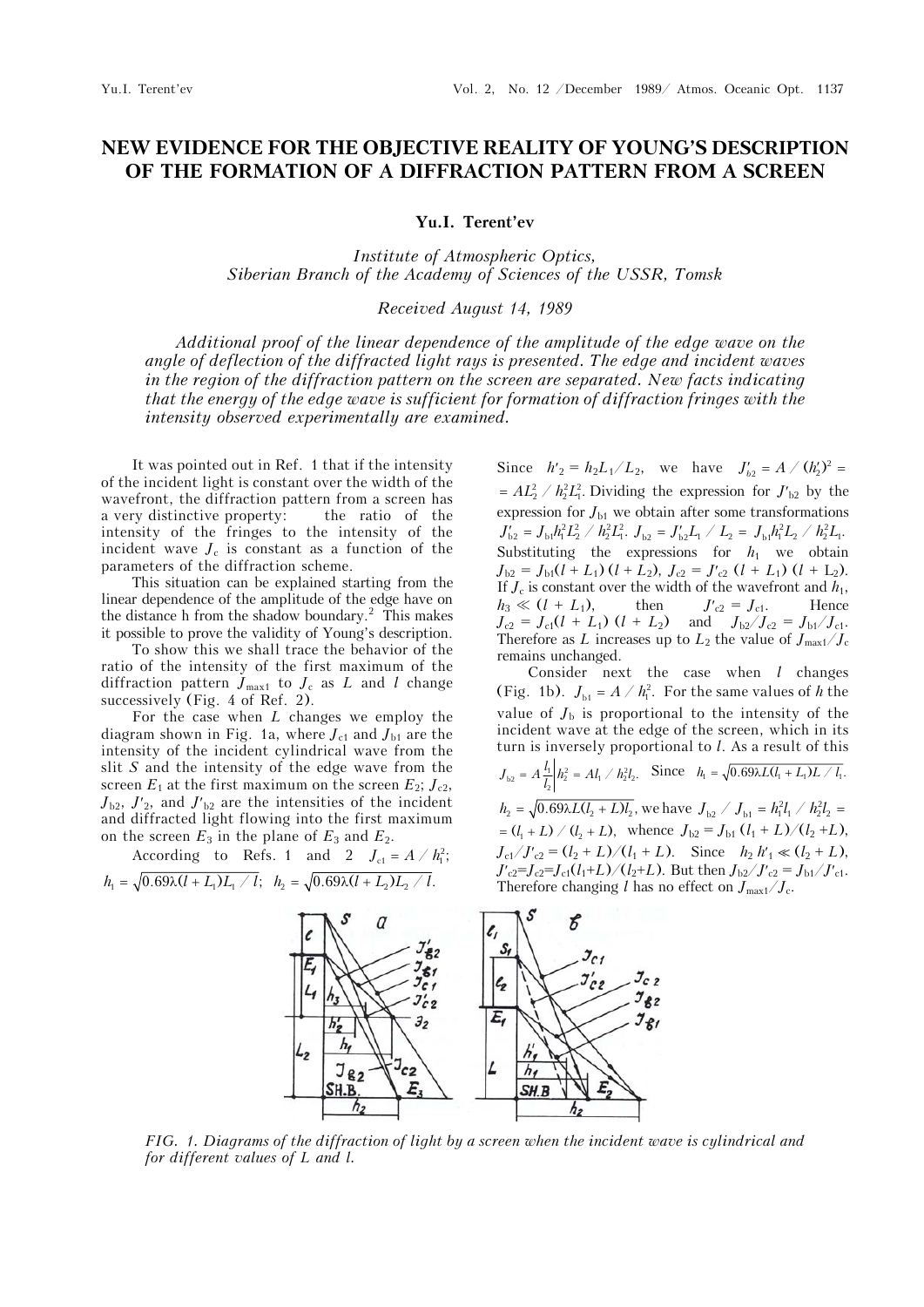## **NEW EVIDENCE FOR THE OBJECTIVE REALITY OF YOUNG'S DESCRIPTION OF THE FORMATION OF A DIFFRACTION PATTERN FROM A SCREEN**

**Yu.I. Terent'ev** 

*Institute of Atmospheric Optics, Siberian Branch of the Academy of Sciences of the USSR, Tomsk* 

*Received August 14, 1989* 

*Additional proof of the linear dependence of the amplitude of the edge wave on the angle of deflection of the diffracted light rays is presented. The edge and incident waves*  in the region of the diffraction pattern on the screen are separated. New facts indicating *that the energy of the edge wave is sufficient for formation of diffraction fringes with the intensity observed experimentally are examined.*

It was pointed out in Ref. 1 that if the intensity of the incident light is constant over the width of the wavefront, the diffraction pattern from a screen has a very distinctive property: the ratio of the intensity of the fringes to the intensity of the incident wave  $J_c$  is constant as a function of the parameters of the diffraction scheme.

This situation can be explained starting from the linear dependence of the amplitude of the edge have on the distance h from the shadow boundary.<sup>2</sup> This makes it possible to prove the validity of Young's description.

To show this we shall trace the behavior of the ratio of the intensity of the first maximum of the diffraction pattern  $J_{\text{max1}}$  to  $J_c$  as L and l change successively (Fig. 4 of Ref. 2).

For the case when *L* changes we employ the diagram shown in Fig. 1a, where  $J_{c1}$  and  $J_{b1}$  are the intensity of the incident cylindrical wave from the slit *S* and the intensity of the edge wave from the screen  $E_1$  at the first maximum on the screen  $E_2$ ;  $J_{c2}$ ,  $J_{b2}$ ,  $J'_{2}$ , and  $J'_{b2}$  are the intensities of the incident and diffracted light flowing into the first maximum on the screen  $E_3$  in the plane of  $E_3$  and  $E_2$ .

According to Refs. 1 and 2  $J_{c1} = A / h_1^2$ ;  $h_1 = \sqrt{0.69 \lambda (l + L_1)L_1 / l}$ ;  $h_2 = \sqrt{0.69 \lambda (l + L_2)L_2 / l}$ .

Since  $h'_2 = h_2 L_1 / L_2$ , we have  $J'_{b2} = A / (h'_2)^2 =$  $= AL_2^2 / h_2^2 L_1^2$ . Dividing the expression for  $J_{b2}$  by the expression for *J*<sub>b1</sub> we obtain after some transformations  $J'_{b2} = J_{b1}h_1^2L_2^2 / h_2^2L_1^2$ .  $J_{b2} = J_{b2}L_1 / L_2 = J_{b1}h_1^2L_2 / h_2^2L_1$ . Substituting the expressions for  $h_1$  we obtain  $J_{b2} = J_{b1}(l + L_1) (l + L_2), J_{c2} = J'_{c2} (l + L_1) (l + L_2).$ If  $J_c$  is constant over the width of the wavefront and  $h_1$ ,<br>  $h_3 \ll (l + L_1)$ , then  $J'_{c2} = J_{c1}$ . Hence  $h_3 \ll (l + L_1)$ , then  $J'_{c2} = J_{c1}$ . Hence  $J_{c2} = J_{c1}(l + L_1)$   $(l + L_2)$  and  $J_{b2}/J_{c2} = J_{b1}/J_{c1}$ . Therefore as *L* increases up to  $L_2$  the value of  $J_{\text{max1}}/J_c$ remains unchanged.

Consider next the case when *l* changes (Fig. 1b).  $J_{b1} = A / h_1^2$ . For the same values of *h* the value of  $J<sub>b</sub>$  is proportional to the intensity of the incident wave at the edge of the screen, which in its turn is inversely proportional to *l*. As a result of this  $J_{b2} = A \frac{l_1}{l_2} h_2^2 = Al_1 \big/ h_2^2 l_2$ . Since  $h_1 = \sqrt{0.69 \lambda L (l_1 + L_1)L / l_1}$ .  $h_2 = \sqrt{0.69 \lambda L (l_2 + L) l_2}$ , we have  $J_{1/2} \, / \, J_{1/2} = h_1^2 l_1 \, / \, h_2^2 l_2 =$  $I_1 = (l_1 + L) / (l_2 + L)$ , whence  $J_{b2} = J_{b1} (l_1 + L) / (l_2 + L)$ ,  $J_{c1}/J'_{c2} = (l_2 + L)/(l_1 + L)$ . Since  $h_2 h'_1 \ll (l_2 + L)$ ,  $J'_{c2}=J_{c2}=J_{c1}(l_1+L)/(l_2+L)$ . But then  $J_{b2}/J'_{c2}=J_{b1}/J'_{c1}$ . Therefore changing *l* has no effect on  $J_{\text{max1}}/J_c$ .



*FIG. 1. Diagrams of the diffraction of light by a screen when the incident wave is cylindrical and for different values of L and l.*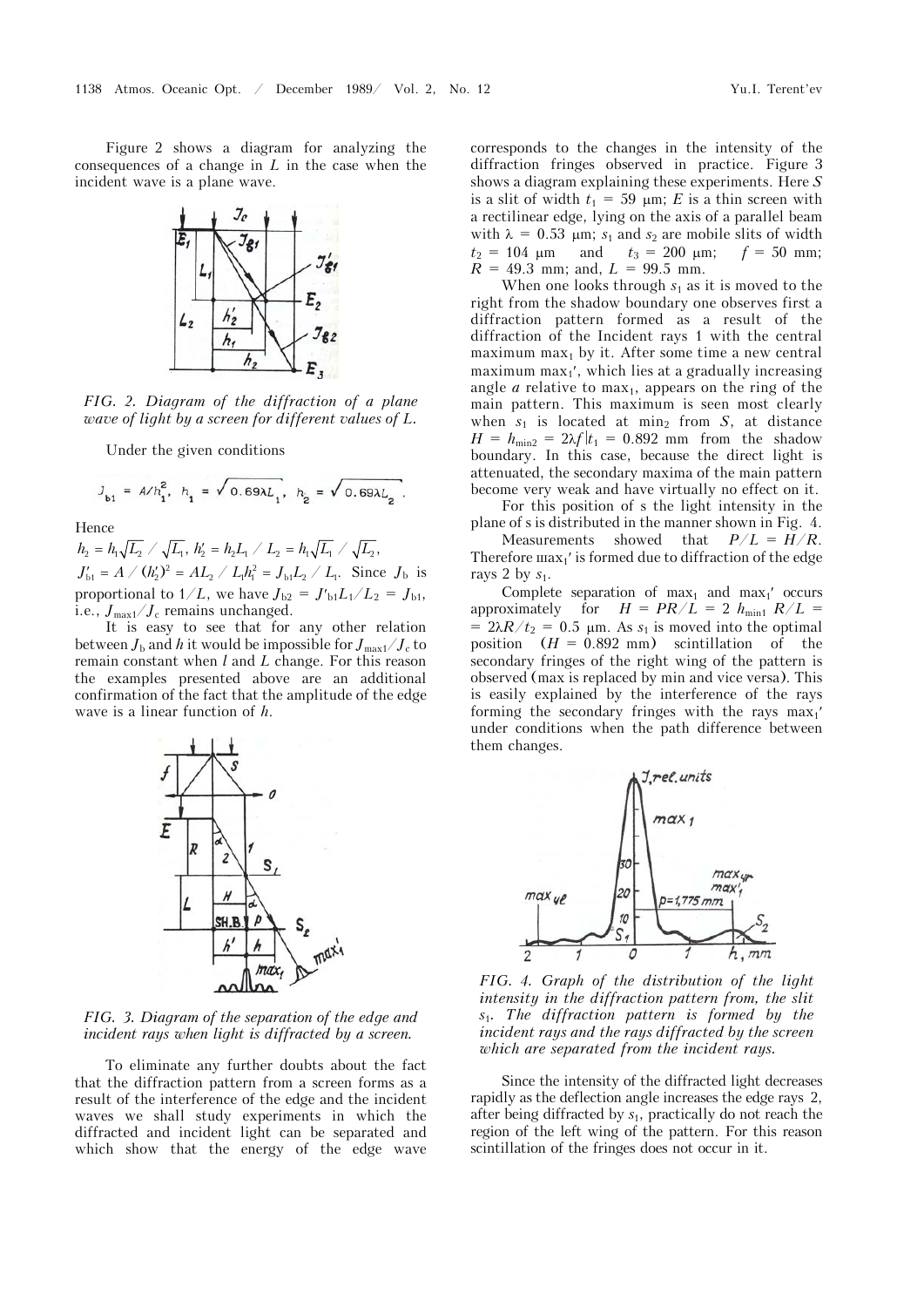Figure 2 shows a diagram for analyzing the consequences of a change in *L* in the case when the incident wave is a plane wave.



*FIG. 2. Diagram of the diffraction of a plane wave of light by a screen for different values of L.* 

Under the given conditions

$$
J_{\mathsf{b1}} = A/h_1^2, h_1 = \sqrt{0.69 \lambda L_1}, h_2 = \sqrt{0.69 \lambda L_2}.
$$

Hence

 $h_2 = h_1 \sqrt{L_1} / \sqrt{L_1}$ ,  $h_2' = h_2 L_1 / L_2 = h_1 \sqrt{L_1} / \sqrt{L_2}$ ,  $J'_{\rm b1} = A / (h'_2)^2 = A L_2 / L_1 h_1^2 = J_{\rm b1} L_2 / L_1$ . Since  $J_{\rm b}$  is proportional to  $1/L$ , we have  $J_{b2} = J'_{b1}L_1/L_2 = J_{b1}$ , i.e.,  $J_{\text{max1}}/J_c$  remains unchanged.

It is easy to see that for any other relation between  $J_{\rm b}$  and *h* it would be impossible for  $J_{\rm max1}/J_{\rm c}$  to remain constant when *l* and *L* change. For this reason the examples presented above are an additional confirmation of the fact that the amplitude of the edge wave is a linear function of *h*.



*FIG. 3. Diagram of the separation of the edge and incident rays when light is diffracted by a screen.*

To eliminate any further doubts about the fact that the diffraction pattern from a screen forms as a result of the interference of the edge and the incident waves we shall study experiments in which the diffracted and incident light can be separated and which show that the energy of the edge wave

corresponds to the changes in the intensity of the diffraction fringes observed in practice. Figure 3 shows a diagram explaining these experiments. Here *S* is a slit of width  $t_1 = 59 \mu m$ ; *E* is a thin screen with a rectilinear edge, lying on the axis of a parallel beam with  $\lambda = 0.53$  µm;  $s_1$  and  $s_2$  are mobile slits of width  $t_2 = 104 \text{ }\mu\text{m}$  and  $t_3 = 200 \text{ }\mu\text{m}$ ;  $f = 50 \text{ mm}$ ;  $R = 49.3$  mm; and,  $L = 99.5$  mm.

When one looks through  $s_1$  as it is moved to the right from the shadow boundary one observes first a diffraction pattern formed as a result of the diffraction of the Incident rays 1 with the central maximum max $<sub>1</sub>$  by it. After some time a new central</sub> maximum max $_1$ , which lies at a gradually increasing angle  $a$  relative to max<sub>1</sub>, appears on the ring of the main pattern. This maximum is seen most clearly when  $s_1$  is located at min<sub>2</sub> from *S*, at distance  $H = h_{\text{min2}} = 2\lambda f/t_1 = 0.892$  mm from the shadow boundary. In this case, because the direct light is attenuated, the secondary maxima of the main pattern become very weak and have virtually no effect on it.

For this position of s the light intensity in the plane of s is distributed in the manner shown in Fig. 4. Measurements showed that  $P/L = H/R$ . Therefore  $\max_i$ ' is formed due to diffraction of the edge rays 2 by *s*1.

Complete separation of  $max_1$  and  $max_1'$  occurs approximately for  $H = PR/L = 2 h_{\text{min1}} R/L =$  $= 2\lambda R/t_2 = 0.5$  µm. As  $s_1$  is moved into the optimal position  $(H = 0.892$  mm) scintillation of the secondary fringes of the right wing of the pattern is observed (max is replaced by min and vice versa). This is easily explained by the interference of the rays forming the secondary fringes with the rays  $max_1$ under conditions when the path difference between them changes.



*FIG. 4. Graph of the distribution of the light intensity in the diffraction pattern from, the slit s*1*. The diffraction pattern is formed by the incident rays and the rays diffracted by the screen which are separated from the incident rays.*

Since the intensity of the diffracted light decreases rapidly as the deflection angle increases the edge rays 2, after being diffracted by *s*1, practically do not reach the region of the left wing of the pattern. For this reason scintillation of the fringes does not occur in it.